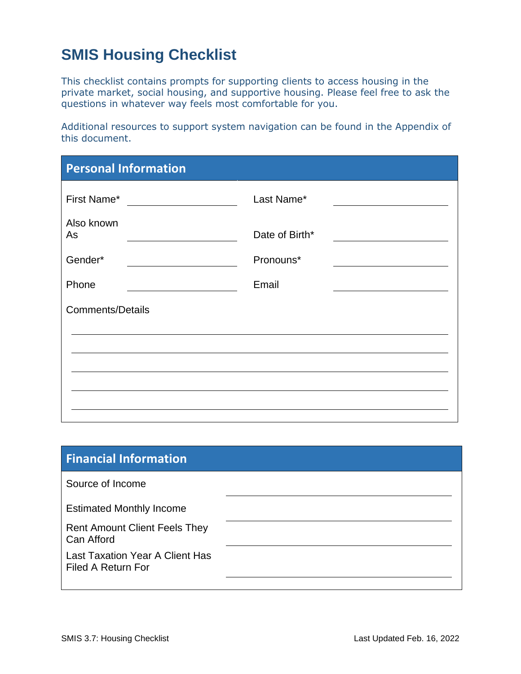# **SMIS Housing Checklist**

This checklist contains prompts for supporting clients to access housing in the private market, social housing, and supportive housing. Please feel free to ask the questions in whatever way feels most comfortable for you.

Additional resources to support system navigation can be found in the Appendix of this document.

| <b>Personal Information</b> |                |
|-----------------------------|----------------|
|                             | Last Name*     |
| Also known<br>As            | Date of Birth* |
| Gender*                     | Pronouns*      |
| Phone                       | Email          |
| <b>Comments/Details</b>     |                |
|                             |                |
|                             |                |
|                             |                |
|                             |                |

| <b>Financial Information</b>                                 |  |
|--------------------------------------------------------------|--|
| Source of Income                                             |  |
| <b>Estimated Monthly Income</b>                              |  |
| <b>Rent Amount Client Feels They</b><br>Can Afford           |  |
| <b>Last Taxation Year A Client Has</b><br>Filed A Return For |  |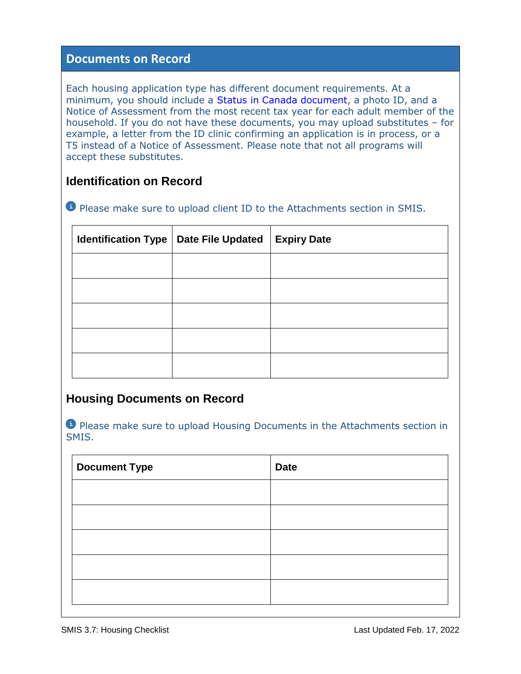## **Documents on Record**

Each housing application type has different document requirements. At a minimum, you should include a [Status in Canada](https://www.toronto.ca/community-people/employment-social-support/housing-support/rent-geared-to-income-subsidy/acceptable-id/) document, a photo ID, and a Notice of Assessment from the most recent tax year for each adult member of the household. If you do not have these documents, you may upload substitutes – for example, a letter from the ID clinic confirming an application is in process, or a T5 instead of a Notice of Assessment. Please note that not all programs will accept these substitutes.

# **Identification on Record**

**Please make sure to upload client ID to the Attachments section in SMIS.** 

| Identification Type   Date File Updated | <b>Expiry Date</b> |
|-----------------------------------------|--------------------|
|                                         |                    |
|                                         |                    |
|                                         |                    |
|                                         |                    |
|                                         |                    |

# **Housing Documents on Record**

**Please make sure to upload Housing Documents in the Attachments section in** SMIS.

| <b>Date</b> |
|-------------|
|             |
|             |
|             |
|             |
|             |
|             |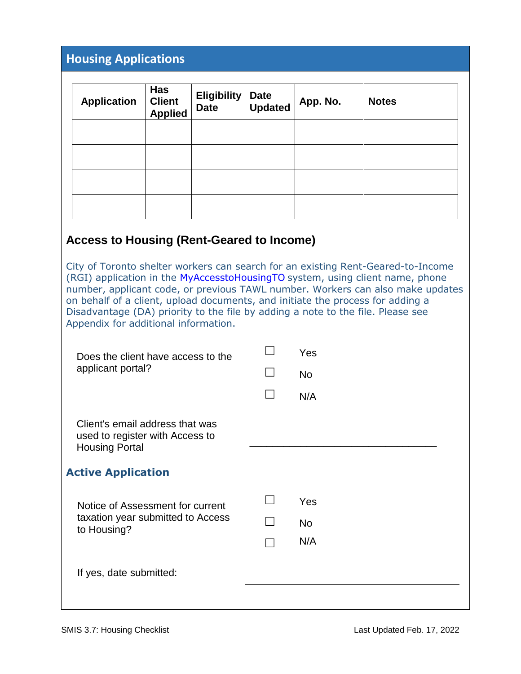# **Housing Applications**

| <b>Application</b> | Has<br><b>Client</b><br><b>Applied</b> | Eligibility<br><b>Date</b> | Date<br>Updated | App. No. | <b>Notes</b> |
|--------------------|----------------------------------------|----------------------------|-----------------|----------|--------------|
|                    |                                        |                            |                 |          |              |
|                    |                                        |                            |                 |          |              |
|                    |                                        |                            |                 |          |              |
|                    |                                        |                            |                 |          |              |

## **Access to Housing (Rent-Geared to Income)**

City of Toronto shelter workers can search for an existing Rent-Geared-to-Income (RGI) application in the [MyAccesstoHousingTO](https://www.toronto.ca/community-people/employment-social-support/housing-support/rent-geared-to-income-subsidy/acceptable-id/) system, using client name, phone number, applicant code, or previous TAWL number. Workers can also make updates on behalf of a client, upload documents, and initiate the process for adding a Disadvantage (DA) priority to the file by adding a note to the file. Please see Appendix for additional information.

| Does the client have access to the<br>applicant portal?                                     |                   | Yes       |
|---------------------------------------------------------------------------------------------|-------------------|-----------|
|                                                                                             |                   | <b>No</b> |
|                                                                                             |                   | N/A       |
| Client's email address that was<br>used to register with Access to<br><b>Housing Portal</b> |                   |           |
| <b>Active Application</b>                                                                   |                   |           |
| Notice of Assessment for current<br>taxation year submitted to Access<br>to Housing?        |                   | Yes       |
|                                                                                             | $\vert \ \ \vert$ | <b>No</b> |
|                                                                                             |                   | N/A       |
| If yes, date submitted:                                                                     |                   |           |
|                                                                                             |                   |           |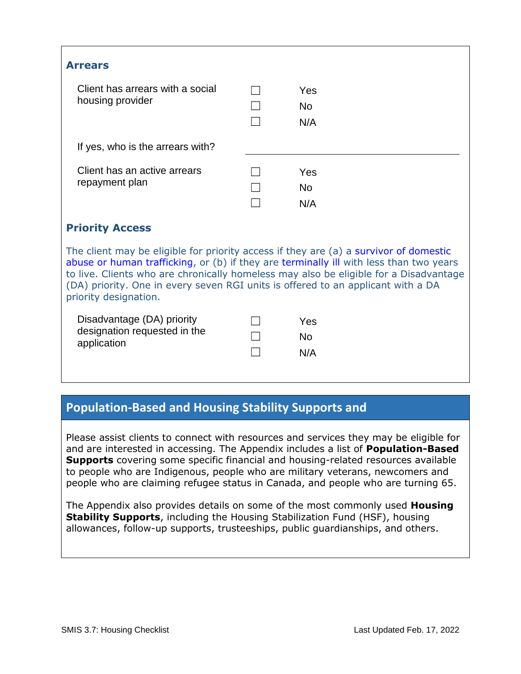| <b>Arrears</b>                                                                                                                                                                 |  |                   |  |  |
|--------------------------------------------------------------------------------------------------------------------------------------------------------------------------------|--|-------------------|--|--|
| Client has arrears with a social<br>housing provider                                                                                                                           |  | Yes<br>No.<br>N/A |  |  |
| If yes, who is the arrears with?                                                                                                                                               |  |                   |  |  |
| Client has an active arrears<br>repayment plan                                                                                                                                 |  | Yes<br>No<br>N/A  |  |  |
| <b>Priority Access</b>                                                                                                                                                         |  |                   |  |  |
| The client may be eligible for priority access if they are (a) a survivor of domestic<br>abuse or buman trafficking or (b) if thou are terminally ill with loss than two vears |  |                   |  |  |

[abuse or human trafficking,](https://www.toronto.ca/community-people/employment-social-support/housing-support/rent-geared-to-income-subsidy/survivors-of-domestic-abuse-or-human-trafficking/) or (b) if they are [terminally ill](https://www.toronto.ca/community-people/employment-social-support/housing-support/rent-geared-to-income-subsidy/terminally-ill-applicants/) with less than two years to live. Clients who are chronically homeless may also be eligible for a Disadvantage (DA) priority. One in every seven RGI units is offered to an applicant with a DA priority designation.

| Disadvantage (DA) priority                  | $\perp$ | Yes |
|---------------------------------------------|---------|-----|
| designation requested in the<br>application | -17     | No. |
|                                             |         | N/A |

# **Population-Based and Housing Stability Supports and**

Please assist clients to connect with resources and services they may be eligible for and are interested in accessing. The Appendix includes a list of **Population-Based Supports** covering some specific financial and housing-related resources available to people who are Indigenous, people who are military veterans, newcomers and people who are claiming refugee status in Canada, and people who are turning 65.

The Appendix also provides details on some of the most commonly used **Housing Stability Supports**, including the Housing Stabilization Fund (HSF), housing allowances, follow-up supports, trusteeships, public guardianships, and others.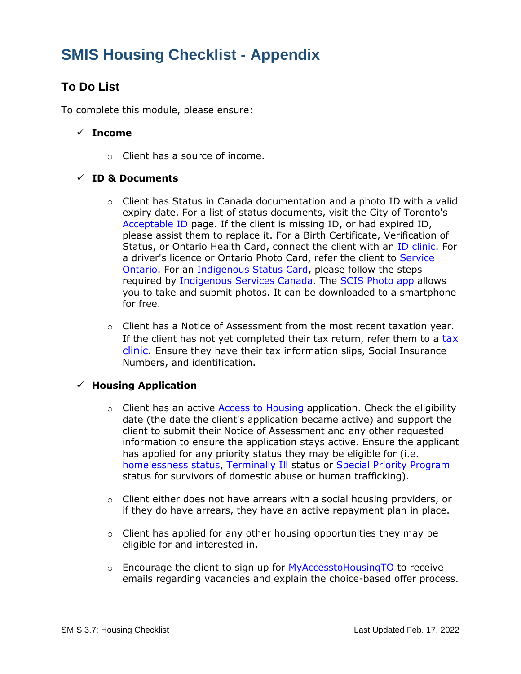# **SMIS Housing Checklist - Appendix**

# **To Do List**

To complete this module, please ensure:

#### **Income**

o Client has a source of income.

#### **ID & Documents**

- o Client has Status in Canada documentation and a photo ID with a valid expiry date. For a list of status documents, visit the City of Toronto's [Acceptable ID](https://www.toronto.ca/community-people/employment-social-support/housing-support/rent-geared-to-income-subsidy/acceptable-id/) page. If the client is missing ID, or had expired ID, please assist them to replace it. For a Birth Certificate, Verification of Status, or Ontario Health Card, connect the client with an [ID clinic.](https://neighbourhoodlink.org/partners-for-access-and-identification-paid/) For a driver's licence or Ontario Photo Card, refer the client to [Service](https://www.ontario.ca/locations/serviceontario)  [Ontario.](https://www.ontario.ca/locations/serviceontario) For an [Indigenous Status Card,](https://www.sac-isc.gc.ca/eng/1100100032374/1572457769548) please follow the steps required by [Indigenous Services Canada.](https://can01.safelinks.protection.outlook.com/?url=https%3A%2F%2Fwww.sac-isc.gc.ca%2Feng%2F1100100032421%2F1572461539061&data=04%7C01%7Cpbuttar%40nameres.org%7C802a920b336544644e8208d91b8fde0c%7C3b88161879104b77add9a617a62f0156%7C0%7C0%7C637571127014568982%7CUnknown%7CTWFpbGZsb3d8eyJWIjoiMC4wLjAwMDAiLCJQIjoiV2luMzIiLCJBTiI6Ik1haWwiLCJXVCI6Mn0%3D%7C1000&sdata=uFNMpfwnYJk0gq7l0GgRjxy1KvHgeodQaFLPFufKAUA%3D&reserved=0) The [SCIS Photo app](https://www.sac-isc.gc.ca/eng/1333474227679/1572461782133#chp5) allows you to take and submit photos. It can be downloaded to a smartphone for free.
- $\circ$  Client has a Notice of Assessment from the most recent taxation year. If the client has not yet completed their tax return, refer them to a [tax](https://www.canada.ca/en/revenue-agency/campaigns/free-tax-help.html)  [clinic.](https://www.canada.ca/en/revenue-agency/campaigns/free-tax-help.html) Ensure they have their tax information slips, Social Insurance Numbers, and identification.

#### **Housing Application**

- $\circ$  Client has an active [Access to Housing](https://www.toronto.ca/community-people/employment-social-support/housing-support/rent-geared-to-income-subsidy/terminally-ill-applicants/) application. Check the eligibility date (the date the client's application became active) and support the client to submit their Notice of Assessment and any other requested information to ensure the application stays active. Ensure the applicant has applied for any priority status they may be eligible for (i.e. [homelessness status,](https://www.toronto.ca/community-people/employment-social-support/housing-support/rent-geared-to-income-subsidy/) [Terminally Ill](https://www.toronto.ca/community-people/employment-social-support/housing-support/rent-geared-to-income-subsidy/terminally-ill-applicants/) status or [Special Priority Program](https://www.toronto.ca/community-people/employment-social-support/housing-support/rent-geared-to-income-subsidy/survivors-of-domestic-abuse-or-human-trafficking/) status for survivors of domestic abuse or human trafficking).
- $\circ$  Client either does not have arrears with a social housing providers, or if they do have arrears, they have an active repayment plan in place.
- $\circ$  Client has applied for any other housing opportunities they may be eligible for and interested in.
- $\circ$  Encourage the client to sign up for [MyAccesstoHousingTO](https://www.toronto.ca/community-people/employment-social-support/housing-support/rent-geared-to-income-subsidy/) to receive emails regarding vacancies and explain the choice-based offer process.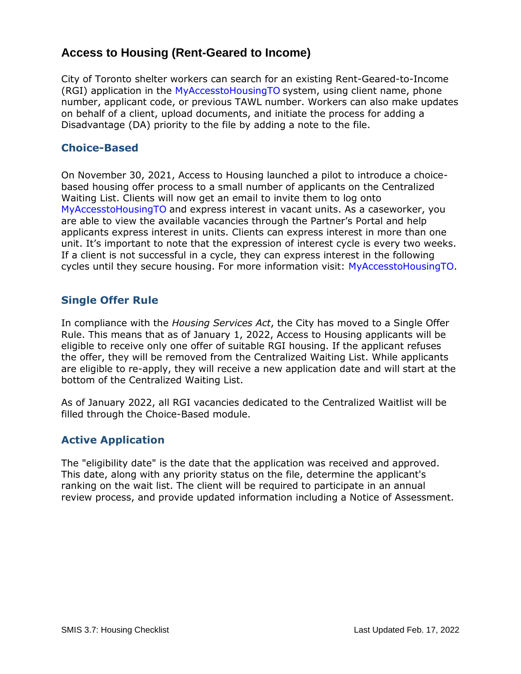# **Access to Housing (Rent-Geared to Income)**

City of Toronto shelter workers can search for an existing Rent-Geared-to-Income (RGI) application in the [MyAccesstoHousingTO](https://www.toronto.ca/community-people/employment-social-support/housing-support/rent-geared-to-income-subsidy/acceptable-id/) system, using client name, phone number, applicant code, or previous TAWL number. Workers can also make updates on behalf of a client, upload documents, and initiate the process for adding a Disadvantage (DA) priority to the file by adding a note to the file.

### **Choice-Based**

On November 30, 2021, Access to Housing launched a pilot to introduce a choicebased housing offer process to a small number of applicants on the Centralized Waiting List. Clients will now get an email to invite them to log onto [MyAccesstoHousingTO](https://www.toronto.ca/community-people/employment-social-support/housing-support/rent-geared-to-income-subsidy/) and express interest in vacant units. As a caseworker, you are able to view the available vacancies through the Partner's Portal and help applicants express interest in units. Clients can express interest in more than one unit. It's important to note that the expression of interest cycle is every two weeks. If a client is not successful in a cycle, they can express interest in the following cycles until they secure housing. For more information visit: M[yAccesstoHousingTO.](https://www.toronto.ca/community-people/employment-social-support/housing-support/rent-geared-to-income-subsidy/)

## **Single Offer Rule**

In compliance with the *Housing Services Act*, the City has moved to a Single Offer Rule. This means that as of January 1, 2022, Access to Housing applicants will be eligible to receive only one offer of suitable RGI housing. If the applicant refuses the offer, they will be removed from the Centralized Waiting List. While applicants are eligible to re-apply, they will receive a new application date and will start at the bottom of the Centralized Waiting List.

As of January 2022, all RGI vacancies dedicated to the Centralized Waitlist will be filled through the Choice-Based module.

## **Active Application**

The "eligibility date" is the date that the application was received and approved. This date, along with any priority status on the file, determine the applicant's ranking on the wait list. The client will be required to participate in an annual review process, and provide updated information including a Notice of Assessment.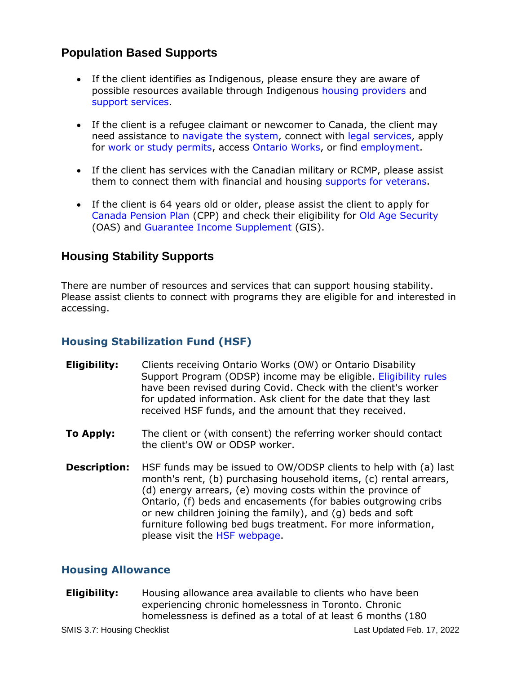# **Population Based Supports**

- If the client identifies as Indigenous, please ensure they are aware of possible resources available through Indigenous [housing providers](https://indigenousto.ca/housing/) and [support services.](https://www.tassc.ca/supports.html)
- If the client is a refugee claimant or newcomer to Canada, the client may need assistance to [navigate the system,](https://www.canada.ca/en/immigration-refugees-citizenship/services/refugees.html) connect with [legal services,](https://www.legalaid.on.ca/services/help-with-immigration-or-refugee-problems/) apply for [work or study permits,](https://www.canada.ca/en/immigration-refugees-citizenship/services/refugees/claim-protection-inside-canada/work-study.html) access [Ontario Works,](https://settlement.org/ontario/employment/financial-assistance/ontario-works/am-i-eligible-for-ontario-works-ow/) or find [employment.](https://www.jobbank.gc.ca/report_note.do?cid=12224&lang=eng)
- If the client has services with the Canadian military or RCMP, please assist them to connect them with financial and housing [supports for veterans.](https://www.veterans.gc.ca/eng/housing-and-home-life/at-risk-housing)
- If the client is 64 years old or older, please assist the client to apply for [Canada Pension Plan](https://www.canada.ca/en/services/benefits/publicpensions/cpp.html) (CPP) and check their eligibility for [Old Age Security](https://www.canada.ca/en/services/benefits/publicpensions/cpp/old-age-security/eligibility.html) (OAS) and [Guarantee Income Supplement](https://www.canada.ca/en/services/benefits/publicpensions/cpp/old-age-security/guaranteed-income-supplement/apply.html) (GIS).

## **Housing Stability Supports**

There are number of resources and services that can support housing stability. Please assist clients to connect with programs they are eligible for and interested in accessing.

## **Housing Stabilization Fund (HSF)**

- **Eligibility:** Clients receiving Ontario Works (OW) or Ontario Disability Support Program (ODSP) income may be eligible. [Eligibility](https://www.toronto.ca/community-people/employment-social-support/support-for-people-in-financial-need/assistance-through-ontario-works/policies-and-procedures/housing-stabilization-fund/) rules have been revised during Covid. Check with the client's worker for updated information. Ask client for the date that they last received HSF funds, and the amount that they received.
- **To Apply:** The client or (with consent) the referring worker should contact the client's OW or ODSP worker.
- **Description:** HSF funds may be issued to OW/ODSP clients to help with (a) last month's rent, (b) purchasing household items, (c) rental arrears, (d) energy arrears, (e) moving costs within the province of Ontario, (f) beds and encasements (for babies outgrowing cribs or new children joining the family), and (g) beds and soft furniture following bed bugs treatment. For more information, please visit the [HSF webpage.](https://www.toronto.ca/community-people/employment-social-support/support-for-people-in-financial-need/assistance-through-ontario-works/policies-and-procedures/housing-stabilization-fund/)

## **Housing Allowance**

**Eligibility:** Housing allowance area available to clients who have been experiencing chronic homelessness in Toronto. Chronic homelessness is defined as a total of at least 6 months (180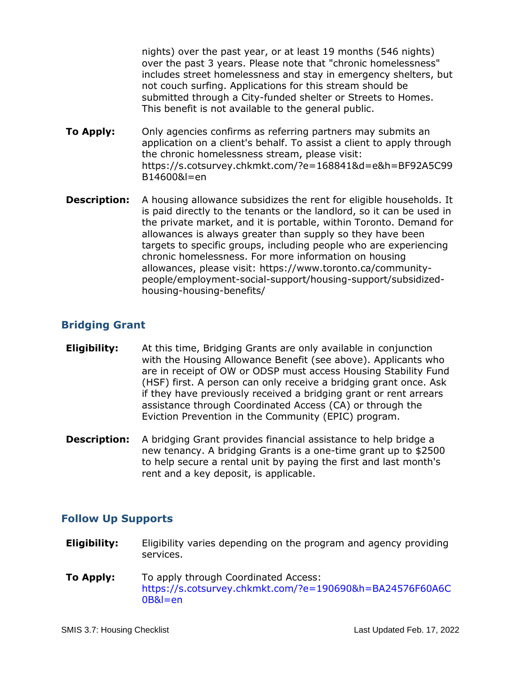nights) over the past year, or at least 19 months (546 nights) over the past 3 years. Please note that "chronic homelessness" includes street homelessness and stay in emergency shelters, but not couch surfing. Applications for this stream should be submitted through a City-funded shelter or Streets to Homes. This benefit is not available to the general public.

- **To Apply:** Only agencies confirms as referring partners may submits an application on a client's behalf. To assist a client to apply through the chronic homelessness stream, please visit: https://s.cotsurvey.chkmkt.com/?e=168841&d=e&h=BF92A5C99 B14600&l=en
- **Description:** A housing allowance subsidizes the rent for eligible households. It is paid directly to the tenants or the landlord, so it can be used in the private market, and it is portable, within Toronto. Demand for allowances is always greater than supply so they have been targets to specific groups, including people who are experiencing chronic homelessness. For more information on housing allowances, please visit: https://www.toronto.ca/communitypeople/employment-social-support/housing-support/subsidizedhousing-housing-benefits/

## **Bridging Grant**

- **Eligibility:** At this time, Bridging Grants are only available in conjunction with the Housing Allowance Benefit (see above). Applicants who are in receipt of OW or ODSP must access Housing Stability Fund (HSF) first. A person can only receive a bridging grant once. Ask if they have previously received a bridging grant or rent arrears assistance through Coordinated Access (CA) or through the Eviction Prevention in the Community (EPIC) program.
- **Description:** A bridging Grant provides financial assistance to help bridge a new tenancy. A bridging Grants is a one-time grant up to \$2500 to help secure a rental unit by paying the first and last month's rent and a key deposit, is applicable.

## **Follow Up Supports**

- **Eligibility:** Eligibility varies depending on the program and agency providing services.
- **To Apply:** To apply through Coordinated Access: [https://s.cotsurvey.chkmkt.com/?e=190690&h=BA24576F60A6C](https://s.cotsurvey.chkmkt.com/?e=190690&h=BA24576F60A6C0B&l=en) [0B&l=en](https://s.cotsurvey.chkmkt.com/?e=190690&h=BA24576F60A6C0B&l=en)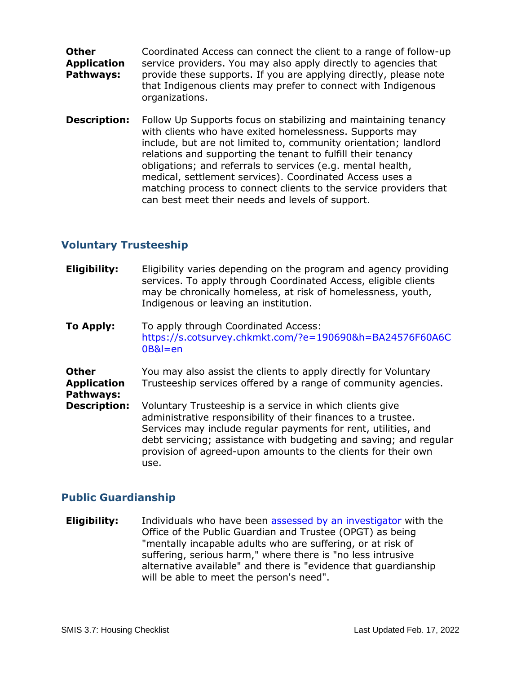- **Other Application Pathways:** Coordinated Access can connect the client to a range of follow-up service providers. You may also apply directly to agencies that provide these supports. If you are applying directly, please note that Indigenous clients may prefer to connect with Indigenous organizations.
- **Description:** Follow Up Supports focus on stabilizing and maintaining tenancy with clients who have exited homelessness. Supports may include, but are not limited to, community orientation; landlord relations and supporting the tenant to fulfill their tenancy obligations; and referrals to services (e.g. mental health, medical, settlement services). Coordinated Access uses a matching process to connect clients to the service providers that can best meet their needs and levels of support.

#### **Voluntary Trusteeship**

- **Eligibility:** Eligibility varies depending on the program and agency providing services. To apply through Coordinated Access, eligible clients may be chronically homeless, at risk of homelessness, youth, Indigenous or leaving an institution.
- **To Apply:** To apply through Coordinated Access: [https://s.cotsurvey.chkmkt.com/?e=190690&h=BA24576F60A6C](https://s.cotsurvey.chkmkt.com/?e=190690&h=BA24576F60A6C0B&l=en) [0B&l=en](https://s.cotsurvey.chkmkt.com/?e=190690&h=BA24576F60A6C0B&l=en)

**Other Application Pathways:** You may also assist the clients to apply directly for Voluntary Trusteeship services offered by a range of community agencies. **Description:** Voluntary Trusteeship is a service in which clients give administrative responsibility of their finances to a trustee. Services may include regular payments for rent, utilities, and debt servicing; assistance with budgeting and saving; and regular provision of agreed-upon amounts to the clients for their own use.

#### **Public Guardianship**

**Eligibility:** Individuals who have been [assessed by an investigator](https://www.attorneygeneral.jus.gov.on.ca/english/family/pgt/guardinvestigation.html) with the Office of the Public Guardian and Trustee (OPGT) as being "mentally incapable adults who are suffering, or at risk of suffering, serious harm," where there is "no less intrusive alternative available" and there is "evidence that guardianship will be able to meet the person's need".